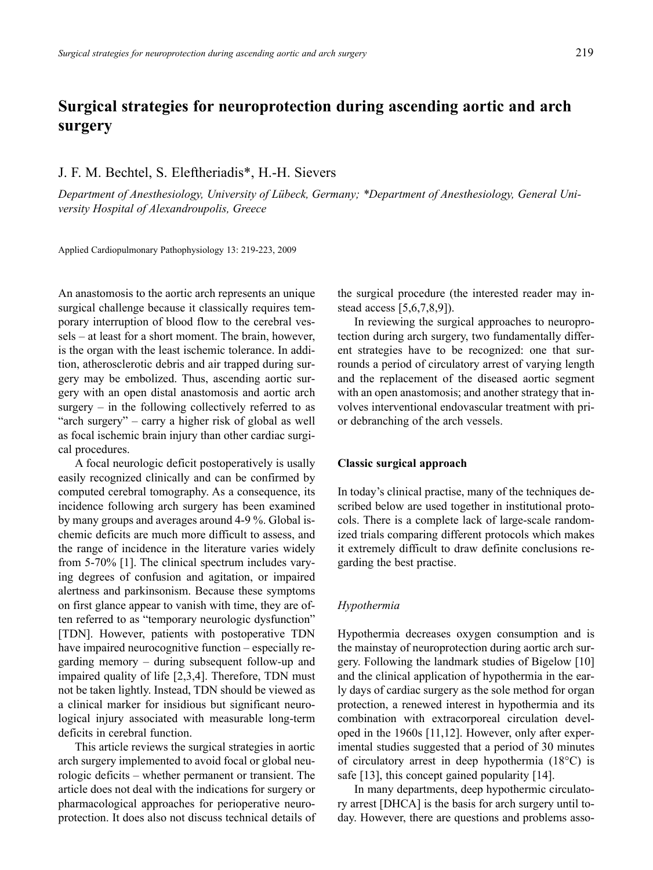# **Surgical strategies for neuroprotection during ascending aortic and arch surgery**

## J. F. M. Bechtel, S. Eleftheriadis\*, H.-H. Sievers

*Department of Anesthesiology, University of Lübeck, Germany; \*Department of Anesthesiology, General University Hospital of Alexandroupolis, Greece*

Applied Cardiopulmonary Pathophysiology 13: 219-223, 2009

An anastomosis to the aortic arch represents an unique surgical challenge because it classically requires temporary interruption of blood flow to the cerebral vessels – at least for a short moment. The brain, however, is the organ with the least ischemic tolerance. In addition, atherosclerotic debris and air trapped during surgery may be embolized. Thus, ascending aortic surgery with an open distal anastomosis and aortic arch surgery  $-$  in the following collectively referred to as "arch surgery" – carry a higher risk of global as well as focal ischemic brain injury than other cardiac surgical procedures.

A focal neurologic deficit postoperatively is usally easily recognized clinically and can be confirmed by computed cerebral tomography. As a consequence, its incidence following arch surgery has been examined by many groups and averages around 4-9 %. Global ischemic deficits are much more difficult to assess, and the range of incidence in the literature varies widely from 5-70% [1]. The clinical spectrum includes varying degrees of confusion and agitation, or impaired alertness and parkinsonism. Because these symptoms on first glance appear to vanish with time, they are often referred to as "temporary neurologic dysfunction" [TDN]. However, patients with postoperative TDN have impaired neurocognitive function – especially regarding memory – during subsequent follow-up and impaired quality of life [2,3,4]. Therefore, TDN must not be taken lightly. Instead, TDN should be viewed as a clinical marker for insidious but significant neurological injury associated with measurable long-term deficits in cerebral function.

This article reviews the surgical strategies in aortic arch surgery implemented to avoid focal or global neurologic deficits – whether permanent or transient. The article does not deal with the indications for surgery or pharmacological approaches for perioperative neuroprotection. It does also not discuss technical details of the surgical procedure (the interested reader may instead access [5,6,7,8,9]).

In reviewing the surgical approaches to neuroprotection during arch surgery, two fundamentally different strategies have to be recognized: one that surrounds a period of circulatory arrest of varying length and the replacement of the diseased aortic segment with an open anastomosis; and another strategy that involves interventional endovascular treatment with prior debranching of the arch vessels.

#### **Classic surgical approach**

In today's clinical practise, many of the techniques described below are used together in institutional protocols. There is a complete lack of large-scale randomized trials comparing different protocols which makes it extremely difficult to draw definite conclusions regarding the best practise.

#### *Hypothermia*

Hypothermia decreases oxygen consumption and is the mainstay of neuroprotection during aortic arch surgery. Following the landmark studies of Bigelow [10] and the clinical application of hypothermia in the early days of cardiac surgery as the sole method for organ protection, a renewed interest in hypothermia and its combination with extracorporeal circulation developed in the 1960s [11,12]. However, only after experimental studies suggested that a period of 30 minutes of circulatory arrest in deep hypothermia (18°C) is safe [13], this concept gained popularity [14].

In many departments, deep hypothermic circulatory arrest [DHCA] is the basis for arch surgery until today. However, there are questions and problems asso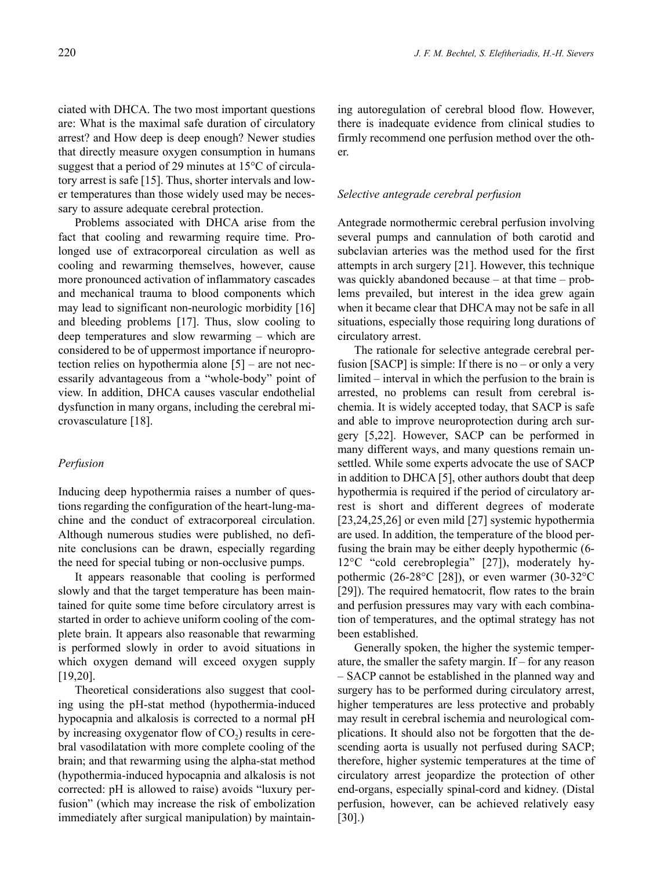ciated with DHCA. The two most important questions are: What is the maximal safe duration of circulatory arrest? and How deep is deep enough? Newer studies that directly measure oxygen consumption in humans suggest that a period of 29 minutes at 15°C of circulatory arrest is safe [15]. Thus, shorter intervals and lower temperatures than those widely used may be necessary to assure adequate cerebral protection.

Problems associated with DHCA arise from the fact that cooling and rewarming require time. Prolonged use of extracorporeal circulation as well as cooling and rewarming themselves, however, cause more pronounced activation of inflammatory cascades and mechanical trauma to blood components which may lead to significant non-neurologic morbidity [16] and bleeding problems [17]. Thus, slow cooling to deep temperatures and slow rewarming – which are considered to be of uppermost importance if neuroprotection relies on hypothermia alone [5] – are not necessarily advantageous from a "whole-body" point of view. In addition, DHCA causes vascular endothelial dysfunction in many organs, including the cerebral microvasculature [18].

#### *Perfusion*

Inducing deep hypothermia raises a number of questions regarding the configuration of the heart-lung-machine and the conduct of extracorporeal circulation. Although numerous studies were published, no definite conclusions can be drawn, especially regarding the need for special tubing or non-occlusive pumps.

It appears reasonable that cooling is performed slowly and that the target temperature has been maintained for quite some time before circulatory arrest is started in order to achieve uniform cooling of the complete brain. It appears also reasonable that rewarming is performed slowly in order to avoid situations in which oxygen demand will exceed oxygen supply [19,20].

Theoretical considerations also suggest that cooling using the pH-stat method (hypothermia-induced hypocapnia and alkalosis is corrected to a normal pH by increasing oxygenator flow of  $CO<sub>2</sub>$ ) results in cerebral vasodilatation with more complete cooling of the brain; and that rewarming using the alpha-stat method (hypothermia-induced hypocapnia and alkalosis is not corrected: pH is allowed to raise) avoids "luxury perfusion" (which may increase the risk of embolization immediately after surgical manipulation) by maintaining autoregulation of cerebral blood flow. However, there is inadequate evidence from clinical studies to firmly recommend one perfusion method over the other.

## *Selective antegrade cerebral perfusion*

Antegrade normothermic cerebral perfusion involving several pumps and cannulation of both carotid and subclavian arteries was the method used for the first attempts in arch surgery [21]. However, this technique was quickly abandoned because – at that time – problems prevailed, but interest in the idea grew again when it became clear that DHCA may not be safe in all situations, especially those requiring long durations of circulatory arrest.

The rationale for selective antegrade cerebral perfusion [SACP] is simple: If there is no – or only a very limited – interval in which the perfusion to the brain is arrested, no problems can result from cerebral ischemia. It is widely accepted today, that SACP is safe and able to improve neuroprotection during arch surgery [5,22]. However, SACP can be performed in many different ways, and many questions remain unsettled. While some experts advocate the use of SACP in addition to DHCA [5], other authors doubt that deep hypothermia is required if the period of circulatory arrest is short and different degrees of moderate [23,24,25,26] or even mild [27] systemic hypothermia are used. In addition, the temperature of the blood perfusing the brain may be either deeply hypothermic (6- 12°C "cold cerebroplegia" [27]), moderately hypothermic (26-28°C [28]), or even warmer (30-32°C [29]). The required hematocrit, flow rates to the brain and perfusion pressures may vary with each combination of temperatures, and the optimal strategy has not been established.

Generally spoken, the higher the systemic temperature, the smaller the safety margin. If – for any reason – SACP cannot be established in the planned way and surgery has to be performed during circulatory arrest, higher temperatures are less protective and probably may result in cerebral ischemia and neurological complications. It should also not be forgotten that the descending aorta is usually not perfused during SACP; therefore, higher systemic temperatures at the time of circulatory arrest jeopardize the protection of other end-organs, especially spinal-cord and kidney. (Distal perfusion, however, can be achieved relatively easy [30].)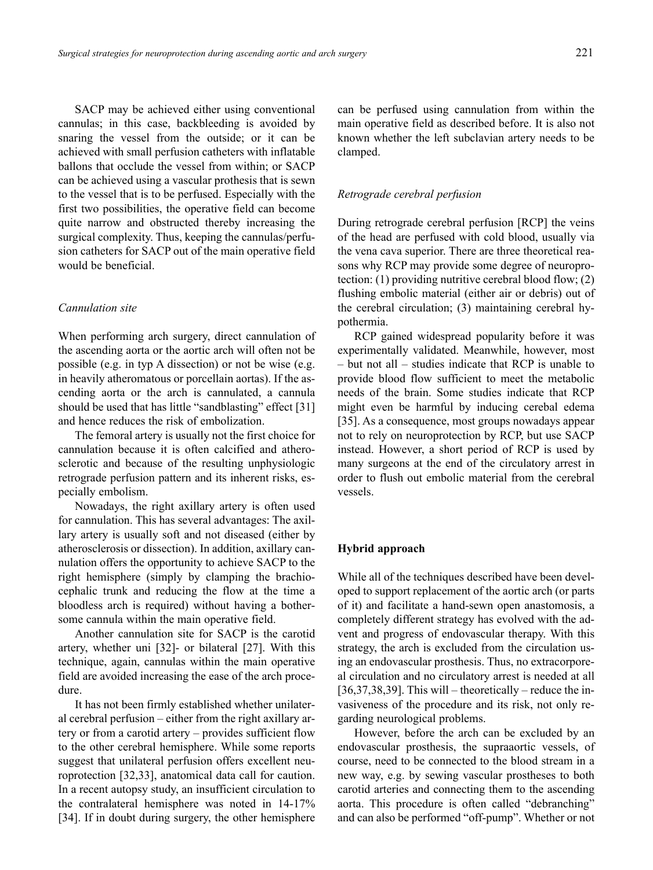SACP may be achieved either using conventional cannulas; in this case, backbleeding is avoided by snaring the vessel from the outside; or it can be achieved with small perfusion catheters with inflatable ballons that occlude the vessel from within; or SACP can be achieved using a vascular prothesis that is sewn to the vessel that is to be perfused. Especially with the first two possibilities, the operative field can become quite narrow and obstructed thereby increasing the surgical complexity. Thus, keeping the cannulas/perfusion catheters for SACP out of the main operative field would be beneficial.

## *Cannulation site*

When performing arch surgery, direct cannulation of the ascending aorta or the aortic arch will often not be possible (e.g. in typ A dissection) or not be wise (e.g. in heavily atheromatous or porcellain aortas). If the ascending aorta or the arch is cannulated, a cannula should be used that has little "sandblasting" effect [31] and hence reduces the risk of embolization.

The femoral artery is usually not the first choice for cannulation because it is often calcified and atherosclerotic and because of the resulting unphysiologic retrograde perfusion pattern and its inherent risks, especially embolism.

Nowadays, the right axillary artery is often used for cannulation. This has several advantages: The axillary artery is usually soft and not diseased (either by atherosclerosis or dissection). In addition, axillary cannulation offers the opportunity to achieve SACP to the right hemisphere (simply by clamping the brachiocephalic trunk and reducing the flow at the time a bloodless arch is required) without having a bothersome cannula within the main operative field.

Another cannulation site for SACP is the carotid artery, whether uni [32]- or bilateral [27]. With this technique, again, cannulas within the main operative field are avoided increasing the ease of the arch procedure.

It has not been firmly established whether unilateral cerebral perfusion – either from the right axillary artery or from a carotid artery – provides sufficient flow to the other cerebral hemisphere. While some reports suggest that unilateral perfusion offers excellent neuroprotection [32,33], anatomical data call for caution. In a recent autopsy study, an insufficient circulation to the contralateral hemisphere was noted in 14-17% [34]. If in doubt during surgery, the other hemisphere can be perfused using cannulation from within the main operative field as described before. It is also not known whether the left subclavian artery needs to be clamped.

## *Retrograde cerebral perfusion*

During retrograde cerebral perfusion [RCP] the veins of the head are perfused with cold blood, usually via the vena cava superior. There are three theoretical reasons why RCP may provide some degree of neuroprotection: (1) providing nutritive cerebral blood flow; (2) flushing embolic material (either air or debris) out of the cerebral circulation; (3) maintaining cerebral hypothermia.

RCP gained widespread popularity before it was experimentally validated. Meanwhile, however, most – but not all – studies indicate that RCP is unable to provide blood flow sufficient to meet the metabolic needs of the brain. Some studies indicate that RCP might even be harmful by inducing cerebal edema [35]. As a consequence, most groups nowadays appear not to rely on neuroprotection by RCP, but use SACP instead. However, a short period of RCP is used by many surgeons at the end of the circulatory arrest in order to flush out embolic material from the cerebral vessels.

## **Hybrid approach**

While all of the techniques described have been developed to support replacement of the aortic arch (or parts of it) and facilitate a hand-sewn open anastomosis, a completely different strategy has evolved with the advent and progress of endovascular therapy. With this strategy, the arch is excluded from the circulation using an endovascular prosthesis. Thus, no extracorporeal circulation and no circulatory arrest is needed at all  $[36,37,38,39]$ . This will – theoretically – reduce the invasiveness of the procedure and its risk, not only regarding neurological problems.

However, before the arch can be excluded by an endovascular prosthesis, the supraaortic vessels, of course, need to be connected to the blood stream in a new way, e.g. by sewing vascular prostheses to both carotid arteries and connecting them to the ascending aorta. This procedure is often called "debranching" and can also be performed "off-pump". Whether or not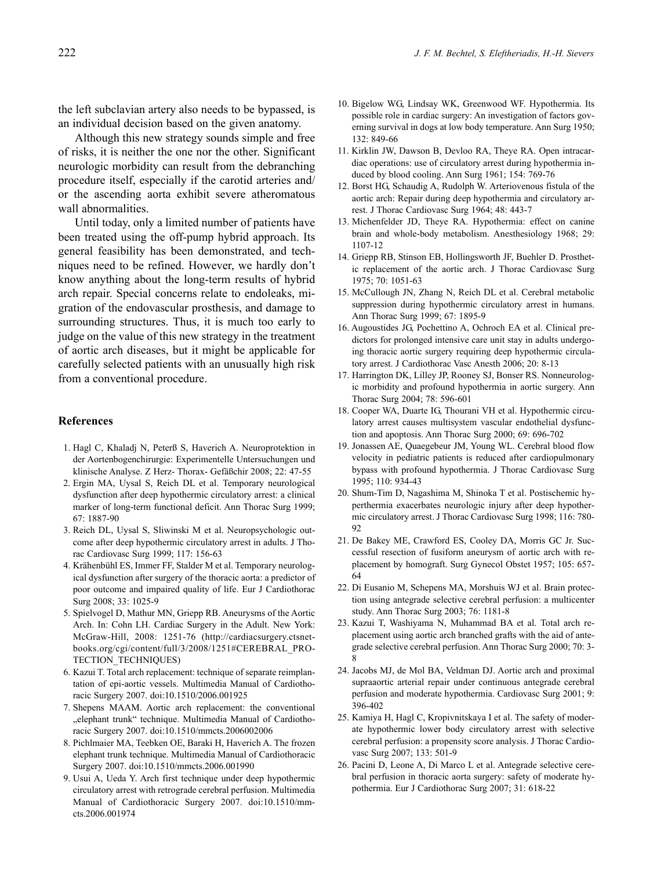the left subclavian artery also needs to be bypassed, is an individual decision based on the given anatomy.

Although this new strategy sounds simple and free of risks, it is neither the one nor the other. Significant neurologic morbidity can result from the debranching procedure itself, especially if the carotid arteries and/ or the ascending aorta exhibit severe atheromatous wall abnormalities.

Until today, only a limited number of patients have been treated using the off-pump hybrid approach. Its general feasibility has been demonstrated, and techniques need to be refined. However, we hardly don't know anything about the long-term results of hybrid arch repair. Special concerns relate to endoleaks, migration of the endovascular prosthesis, and damage to surrounding structures. Thus, it is much too early to judge on the value of this new strategy in the treatment of aortic arch diseases, but it might be applicable for carefully selected patients with an unusually high risk from a conventional procedure.

#### **References**

- 1. Hagl C, Khaladj N, Peterß S, Haverich A. Neuroprotektion in der Aortenbogenchirurgie: Experimentelle Untersuchungen und klinische Analyse. Z Herz- Thorax- Gefäßchir 2008; 22: 47-55
- 2. Ergin MA, Uysal S, Reich DL et al. Temporary neurological dysfunction after deep hypothermic circulatory arrest: a clinical marker of long-term functional deficit. Ann Thorac Surg 1999; 67: 1887-90
- 3. Reich DL, Uysal S, Sliwinski M et al. Neuropsychologic outcome after deep hypothermic circulatory arrest in adults. J Thorac Cardiovasc Surg 1999; 117: 156-63
- 4. Krähenbühl ES, Immer FF, Stalder M et al. Temporary neurological dysfunction after surgery of the thoracic aorta: a predictor of poor outcome and impaired quality of life. Eur J Cardiothorac Surg 2008; 33: 1025-9
- 5. Spielvogel D, Mathur MN, Griepp RB. Aneurysms of the Aortic Arch. In: Cohn LH. Cardiac Surgery in the Adult. New York: McGraw-Hill, 2008: 1251-76 (http://cardiacsurgery.ctsnetbooks.org/cgi/content/full/3/2008/1251#CEREBRAL\_PRO-TECTION\_TECHNIQUES)
- 6. Kazui T. Total arch replacement: technique of separate reimplantation of epi-aortic vessels. Multimedia Manual of Cardiothoracic Surgery 2007. doi:10.1510/2006.001925
- 7. Shepens MAAM. Aortic arch replacement: the conventional "elephant trunk" technique. Multimedia Manual of Cardiothoracic Surgery 2007. doi:10.1510/mmcts.2006002006
- 8. Pichlmaier MA, Teebken OE, Baraki H, Haverich A. The frozen elephant trunk technique. Multimedia Manual of Cardiothoracic Surgery 2007. doi:10.1510/mmcts.2006.001990
- 9. Usui A, Ueda Y. Arch first technique under deep hypothermic circulatory arrest with retrograde cerebral perfusion. Multimedia Manual of Cardiothoracic Surgery 2007. doi:10.1510/mmcts.2006.001974
- 10. Bigelow WG, Lindsay WK, Greenwood WF. Hypothermia. Its possible role in cardiac surgery: An investigation of factors governing survival in dogs at low body temperature. Ann Surg 1950; 132: 849-66
- 11. Kirklin JW, Dawson B, Devloo RA, Theye RA. Open intracardiac operations: use of circulatory arrest during hypothermia induced by blood cooling. Ann Surg 1961; 154: 769-76
- 12. Borst HG, Schaudig A, Rudolph W. Arteriovenous fistula of the aortic arch: Repair during deep hypothermia and circulatory arrest. J Thorac Cardiovasc Surg 1964; 48: 443-7
- 13. Michenfelder JD, Theye RA. Hypothermia: effect on canine brain and whole-body metabolism. Anesthesiology 1968; 29: 1107-12
- 14. Griepp RB, Stinson EB, Hollingsworth JF, Buehler D. Prosthetic replacement of the aortic arch. J Thorac Cardiovasc Surg 1975; 70: 1051-63
- 15. McCullough JN, Zhang N, Reich DL et al. Cerebral metabolic suppression during hypothermic circulatory arrest in humans. Ann Thorac Surg 1999; 67: 1895-9
- 16. Augoustides JG, Pochettino A, Ochroch EA et al. Clinical predictors for prolonged intensive care unit stay in adults undergoing thoracic aortic surgery requiring deep hypothermic circulatory arrest. J Cardiothorac Vasc Anesth 2006; 20: 8-13
- 17. Harrington DK, Lilley JP, Rooney SJ, Bonser RS. Nonneurologic morbidity and profound hypothermia in aortic surgery. Ann Thorac Surg 2004; 78: 596-601
- 18. Cooper WA, Duarte IG, Thourani VH et al. Hypothermic circulatory arrest causes multisystem vascular endothelial dysfunction and apoptosis. Ann Thorac Surg 2000; 69: 696-702
- 19. Jonassen AE, Quaegebeur JM, Young WL. Cerebral blood flow velocity in pediatric patients is reduced after cardiopulmonary bypass with profound hypothermia. J Thorac Cardiovasc Surg 1995; 110: 934-43
- 20. Shum-Tim D, Nagashima M, Shinoka T et al. Postischemic hyperthermia exacerbates neurologic injury after deep hypothermic circulatory arrest. J Thorac Cardiovasc Surg 1998; 116: 780- 92
- 21. De Bakey ME, Crawford ES, Cooley DA, Morris GC Jr. Successful resection of fusiform aneurysm of aortic arch with replacement by homograft. Surg Gynecol Obstet 1957; 105: 657- 64
- 22. Di Eusanio M, Schepens MA, Morshuis WJ et al. Brain protection using antegrade selective cerebral perfusion: a multicenter study. Ann Thorac Surg 2003; 76: 1181-8
- 23. Kazui T, Washiyama N, Muhammad BA et al. Total arch replacement using aortic arch branched grafts with the aid of antegrade selective cerebral perfusion. Ann Thorac Surg 2000; 70: 3- 8
- 24. Jacobs MJ, de Mol BA, Veldman DJ. Aortic arch and proximal supraaortic arterial repair under continuous antegrade cerebral perfusion and moderate hypothermia. Cardiovasc Surg 2001; 9: 396-402
- 25. Kamiya H, Hagl C, Kropivnitskaya I et al. The safety of moderate hypothermic lower body circulatory arrest with selective cerebral perfusion: a propensity score analysis. J Thorac Cardiovasc Surg 2007; 133: 501-9
- 26. Pacini D, Leone A, Di Marco L et al. Antegrade selective cerebral perfusion in thoracic aorta surgery: safety of moderate hypothermia. Eur J Cardiothorac Surg 2007; 31: 618-22